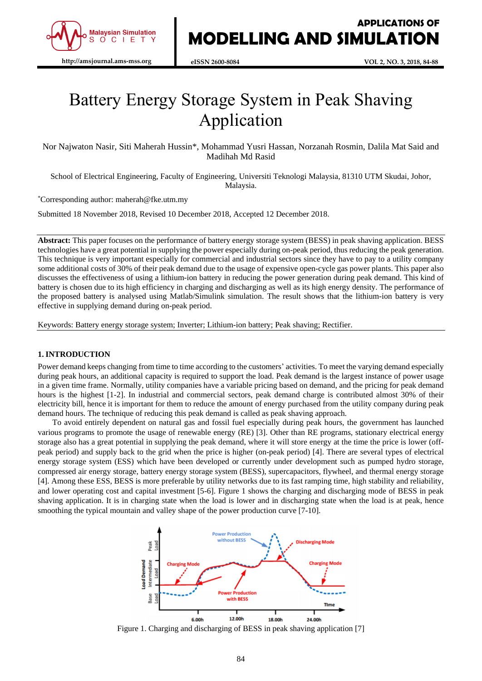

# Battery Energy Storage System in Peak Shaving Application

Nor Najwaton Nasir, Siti Maherah Hussin\*, Mohammad Yusri Hassan, Norzanah Rosmin, Dalila Mat Said and Madihah Md Rasid

School of Electrical Engineering, Faculty of Engineering, Universiti Teknologi Malaysia, 81310 UTM Skudai, Johor, Malaysia.

\*Corresponding author: maherah@fke.utm.my

Submitted 18 November 2018, Revised 10 December 2018, Accepted 12 December 2018.

**Abstract:** This paper focuses on the performance of battery energy storage system (BESS) in peak shaving application. BESS technologies have a great potential in supplying the power especially during on-peak period, thus reducing the peak generation. This technique is very important especially for commercial and industrial sectors since they have to pay to a utility company some additional costs of 30% of their peak demand due to the usage of expensive open-cycle gas power plants. This paper also discusses the effectiveness of using a lithium-ion battery in reducing the power generation during peak demand. This kind of battery is chosen due to its high efficiency in charging and discharging as well as its high energy density. The performance of the proposed battery is analysed using Matlab/Simulink simulation. The result shows that the lithium-ion battery is very effective in supplying demand during on-peak period.

Keywords: Battery energy storage system; Inverter; Lithium-ion battery; Peak shaving; Rectifier.

## **1. INTRODUCTION**

Power demand keeps changing from time to time according to the customers' activities. To meet the varying demand especially during peak hours, an additional capacity is required to support the load. Peak demand is the largest instance of power usage in a given time frame. Normally, utility companies have a variable pricing based on demand, and the pricing for peak demand hours is the highest [1-2]. In industrial and commercial sectors, peak demand charge is contributed almost 30% of their electricity bill, hence it is important for them to reduce the amount of energy purchased from the utility company during peak demand hours. The technique of reducing this peak demand is called as peak shaving approach.

To avoid entirely dependent on natural gas and fossil fuel especially during peak hours, the government has launched various programs to promote the usage of renewable energy (RE) [3]. Other than RE programs, stationary electrical energy storage also has a great potential in supplying the peak demand, where it will store energy at the time the price is lower (offpeak period) and supply back to the grid when the price is higher (on-peak period) [4]. There are several types of electrical energy storage system (ESS) which have been developed or currently under development such as pumped hydro storage, compressed air energy storage, battery energy storage system (BESS), supercapacitors, flywheel, and thermal energy storage [4]. Among these ESS, BESS is more preferable by utility networks due to its fast ramping time, high stability and reliability, and lower operating cost and capital investment [5-6]. Figure 1 shows the charging and discharging mode of BESS in peak shaving application. It is in charging state when the load is lower and in discharging state when the load is at peak, hence smoothing the typical mountain and valley shape of the power production curve [7-10].



Figure 1. Charging and discharging of BESS in peak shaving application [7]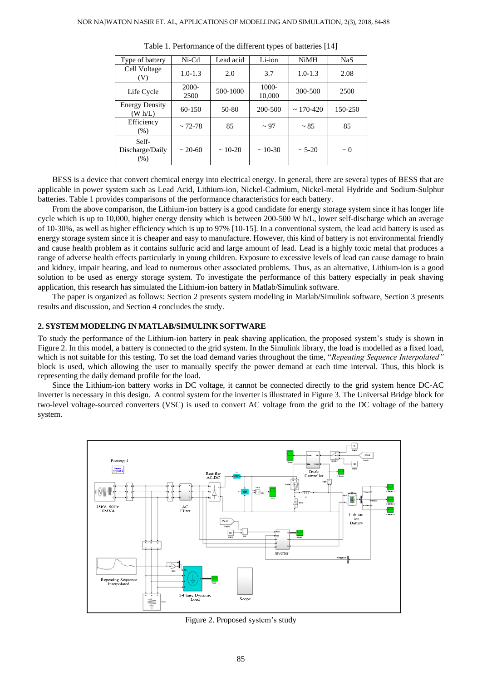| Type of battery                  | $Ni-Cd$          | Lead acid | Li-ion          | <b>NiMH</b>      | <b>NaS</b> |
|----------------------------------|------------------|-----------|-----------------|------------------|------------|
| Cell Voltage<br>(V)              | $1.0 - 1.3$      | 2.0       | 3.7             | $1.0 - 1.3$      | 2.08       |
| Life Cycle                       | $2000 -$<br>2500 | 500-1000  | 1000-<br>10,000 | 300-500          | 2500       |
| <b>Energy Density</b><br>(W h/L) | 60-150           | 50-80     | 200-500         | $\sim 170 - 420$ | 150-250    |
| Efficiency<br>$(\% )$            | $\sim$ 72-78     | 85        | $\sim$ 97       | $~\sim 85$       | 85         |
| Self-<br>Discharge/Daily<br>(% ) | $\sim 20 - 60$   | $~10-20$  | $~10-30$        | $\sim 5 - 20$    | $\sim 0$   |

Table 1. Performance of the different types of batteries [14]

BESS is a device that convert chemical energy into electrical energy. In general, there are several types of BESS that are applicable in power system such as Lead Acid, Lithium-ion, Nickel-Cadmium, Nickel-metal Hydride and Sodium-Sulphur batteries. Table 1 provides comparisons of the performance characteristics for each battery.

From the above comparison, the Lithium-ion battery is a good candidate for energy storage system since it has longer life cycle which is up to 10,000, higher energy density which is between 200-500 W h/L, lower self-discharge which an average of 10-30%, as well as higher efficiency which is up to 97% [10-15]. In a conventional system, the lead acid battery is used as energy storage system since it is cheaper and easy to manufacture. However, this kind of battery is not environmental friendly and cause health problem as it contains sulfuric acid and large amount of lead. Lead is a highly toxic metal that produces a range of adverse health effects particularly in young children. Exposure to excessive levels of lead can cause damage to brain and kidney, impair hearing, and lead to numerous other associated problems. Thus, as an alternative, Lithium-ion is a good solution to be used as energy storage system. To investigate the performance of this battery especially in peak shaving application, this research has simulated the Lithium-ion battery in Matlab/Simulink software.

The paper is organized as follows: Section 2 presents system modeling in Matlab/Simulink software, Section 3 presents results and discussion, and Section 4 concludes the study.

#### **2. SYSTEM MODELING IN MATLAB/SIMULINK SOFTWARE**

To study the performance of the Lithium-ion battery in peak shaving application, the proposed system's study is shown in Figure 2. In this model, a battery is connected to the grid system. In the Simulink library, the load is modelled as a fixed load, which is not suitable for this testing. To set the load demand varies throughout the time, "*Repeating Sequence Interpolated"*  block is used, which allowing the user to manually specify the power demand at each time interval. Thus, this block is representing the daily demand profile for the load.

Since the Lithium-ion battery works in DC voltage, it cannot be connected directly to the grid system hence DC-AC inverter is necessary in this design. A control system for the inverter is illustrated in Figure 3. The Universal Bridge block for two-level voltage-sourced converters (VSC) is used to convert AC voltage from the grid to the DC voltage of the battery system.



Figure 2. Proposed system's study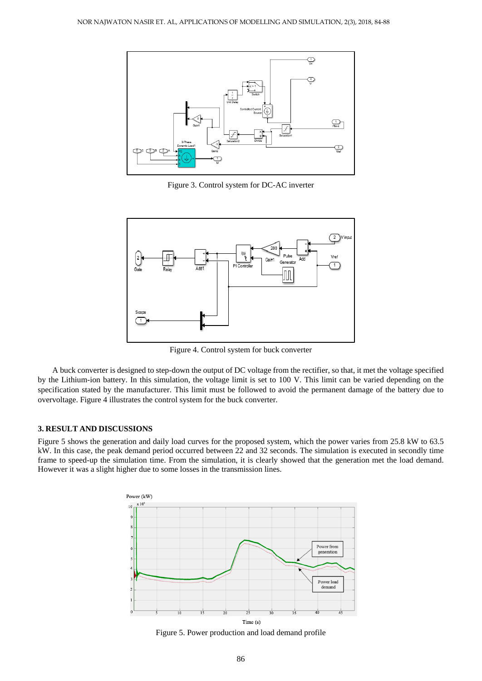

Figure 3. Control system for DC-AC inverter



Figure 4. Control system for buck converter

A buck converter is designed to step-down the output of DC voltage from the rectifier, so that, it met the voltage specified by the Lithium-ion battery. In this simulation, the voltage limit is set to 100 V. This limit can be varied depending on the specification stated by the manufacturer. This limit must be followed to avoid the permanent damage of the battery due to overvoltage. Figure 4 illustrates the control system for the buck converter.

#### **3. RESULT AND DISCUSSIONS**

Figure 5 shows the generation and daily load curves for the proposed system, which the power varies from 25.8 kW to 63.5 kW. In this case, the peak demand period occurred between 22 and 32 seconds. The simulation is executed in secondly time frame to speed-up the simulation time. From the simulation, it is clearly showed that the generation met the load demand. However it was a slight higher due to some losses in the transmission lines.



Figure 5. Power production and load demand profile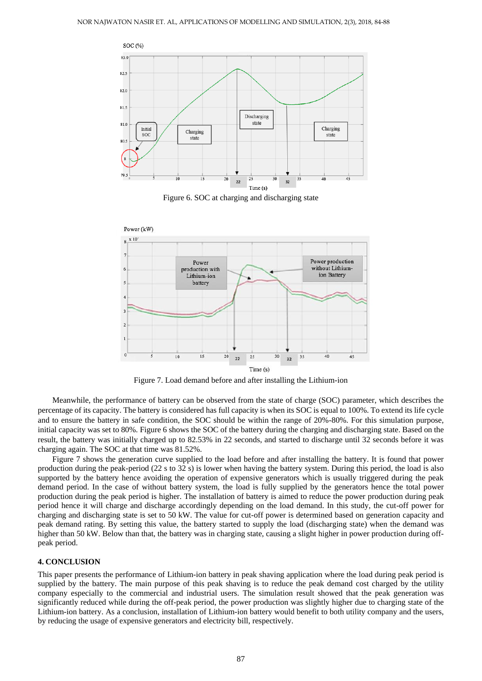

Figure 6. SOC at charging and discharging state



Figure 7. Load demand before and after installing the Lithium-ion

Meanwhile, the performance of battery can be observed from the state of charge (SOC) parameter, which describes the percentage of its capacity. The battery is considered has full capacity is when its SOC is equal to 100%. To extend its life cycle and to ensure the battery in safe condition, the SOC should be within the range of 20%-80%. For this simulation purpose, initial capacity was set to 80%. Figure 6 shows the SOC of the battery during the charging and discharging state. Based on the result, the battery was initially charged up to 82.53% in 22 seconds, and started to discharge until 32 seconds before it was charging again. The SOC at that time was 81.52%.

Figure 7 shows the generation curve supplied to the load before and after installing the battery. It is found that power production during the peak-period (22 s to 32 s) is lower when having the battery system. During this period, the load is also supported by the battery hence avoiding the operation of expensive generators which is usually triggered during the peak demand period. In the case of without battery system, the load is fully supplied by the generators hence the total power production during the peak period is higher. The installation of battery is aimed to reduce the power production during peak period hence it will charge and discharge accordingly depending on the load demand. In this study, the cut-off power for charging and discharging state is set to 50 kW. The value for cut-off power is determined based on generation capacity and peak demand rating. By setting this value, the battery started to supply the load (discharging state) when the demand was higher than 50 kW. Below than that, the battery was in charging state, causing a slight higher in power production during offpeak period.

### **4. CONCLUSION**

This paper presents the performance of Lithium-ion battery in peak shaving application where the load during peak period is supplied by the battery. The main purpose of this peak shaving is to reduce the peak demand cost charged by the utility company especially to the commercial and industrial users. The simulation result showed that the peak generation was significantly reduced while during the off-peak period, the power production was slightly higher due to charging state of the Lithium-ion battery. As a conclusion, installation of Lithium-ion battery would benefit to both utility company and the users, by reducing the usage of expensive generators and electricity bill, respectively.